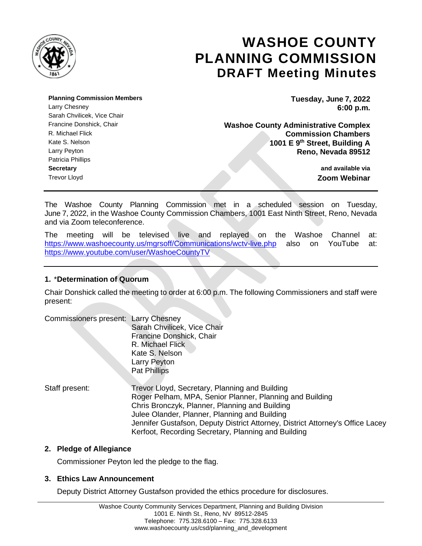

# **WASHOE COUNTY PLANNING COMMISSION DRAFT Meeting Minutes**

**Planning Commission Members Tuesday, June 7, 2022** Larry Chesney **6:00 p.m.** Sarah Chvilicek, Vice Chair Patricia Phillips **Secretary and available via** Trevor Lloyd **Zoom Webinar**

Francine Donshick, Chair **Washoe County Administrative Complex** R. Michael Flick **Commission Chambers** Kate S. Nelson **1001 E 9<sup>th</sup> Street, Building A** Larry Peyton **Reno, Nevada 89512**

The Washoe County Planning Commission met in a scheduled session on Tuesday, June 7, 2022, in the Washoe County Commission Chambers, 1001 East Ninth Street, Reno, Nevada and via Zoom teleconference.

The meeting will be televised live and replayed on the Washoe Channel at: <https://www.washoecounty.us/mgrsoff/Communications/wctv-live.php> also on YouTube at: <https://www.youtube.com/user/WashoeCountyTV>

## **1.** \***Determination of Quorum**

Chair Donshick called the meeting to order at 6:00 p.m. The following Commissioners and staff were present:

| Commissioners present: Larry Chesney |                                                                                |
|--------------------------------------|--------------------------------------------------------------------------------|
|                                      | Sarah Chvilicek, Vice Chair                                                    |
|                                      | Francine Donshick, Chair                                                       |
|                                      | R. Michael Flick                                                               |
|                                      | Kate S. Nelson                                                                 |
|                                      | Larry Peyton                                                                   |
|                                      | <b>Pat Phillips</b>                                                            |
|                                      |                                                                                |
| Staff present:                       | Trevor Lloyd, Secretary, Planning and Building                                 |
|                                      | Roger Pelham, MPA, Senior Planner, Planning and Building                       |
|                                      | Chris Bronczyk, Planner, Planning and Building                                 |
|                                      | Julee Olander, Planner, Planning and Building                                  |
|                                      | Jennifer Gustafson, Deputy District Attorney, District Attorney's Office Lacey |
|                                      | Kerfoot, Recording Secretary, Planning and Building                            |

## **2. Pledge of Allegiance**

Commissioner Peyton led the pledge to the flag.

## **3. Ethics Law Announcement**

Deputy District Attorney Gustafson provided the ethics procedure for disclosures.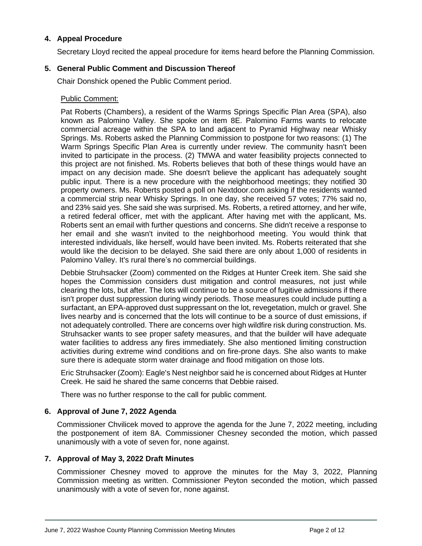## **4. Appeal Procedure**

Secretary Lloyd recited the appeal procedure for items heard before the Planning Commission.

## **5. General Public Comment and Discussion Thereof**

Chair Donshick opened the Public Comment period.

## Public Comment:

Pat Roberts (Chambers), a resident of the Warms Springs Specific Plan Area (SPA), also known as Palomino Valley. She spoke on item 8E. Palomino Farms wants to relocate commercial acreage within the SPA to land adjacent to Pyramid Highway near Whisky Springs. Ms. Roberts asked the Planning Commission to postpone for two reasons: (1) The Warm Springs Specific Plan Area is currently under review. The community hasn't been invited to participate in the process. (2) TMWA and water feasibility projects connected to this project are not finished. Ms. Roberts believes that both of these things would have an impact on any decision made. She doesn't believe the applicant has adequately sought public input. There is a new procedure with the neighborhood meetings; they notified 30 property owners. Ms. Roberts posted a poll on Nextdoor.com asking if the residents wanted a commercial strip near Whisky Springs. In one day, she received 57 votes; 77% said no, and 23% said yes. She said she was surprised. Ms. Roberts, a retired attorney, and her wife, a retired federal officer, met with the applicant. After having met with the applicant, Ms. Roberts sent an email with further questions and concerns. She didn't receive a response to her email and she wasn't invited to the neighborhood meeting. You would think that interested individuals, like herself, would have been invited. Ms. Roberts reiterated that she would like the decision to be delayed. She said there are only about 1,000 of residents in Palomino Valley. It's rural there's no commercial buildings.

Debbie Struhsacker (Zoom) commented on the Ridges at Hunter Creek item. She said she hopes the Commission considers dust mitigation and control measures, not just while clearing the lots, but after. The lots will continue to be a source of fugitive admissions if there isn't proper dust suppression during windy periods. Those measures could include putting a surfactant, an EPA-approved dust suppressant on the lot, revegetation, mulch or gravel. She lives nearby and is concerned that the lots will continue to be a source of dust emissions, if not adequately controlled. There are concerns over high wildfire risk during construction. Ms. Struhsacker wants to see proper safety measures, and that the builder will have adequate water facilities to address any fires immediately. She also mentioned limiting construction activities during extreme wind conditions and on fire-prone days. She also wants to make sure there is adequate storm water drainage and flood mitigation on those lots.

Eric Struhsacker (Zoom): Eagle's Nest neighbor said he is concerned about Ridges at Hunter Creek. He said he shared the same concerns that Debbie raised.

There was no further response to the call for public comment.

## **6. Approval of June 7, 2022 Agenda**

Commissioner Chvilicek moved to approve the agenda for the June 7, 2022 meeting, including the postponement of item 8A. Commissioner Chesney seconded the motion, which passed unanimously with a vote of seven for, none against.

## **7. Approval of May 3, 2022 Draft Minutes**

Commissioner Chesney moved to approve the minutes for the May 3, 2022, Planning Commission meeting as written. Commissioner Peyton seconded the motion, which passed unanimously with a vote of seven for, none against.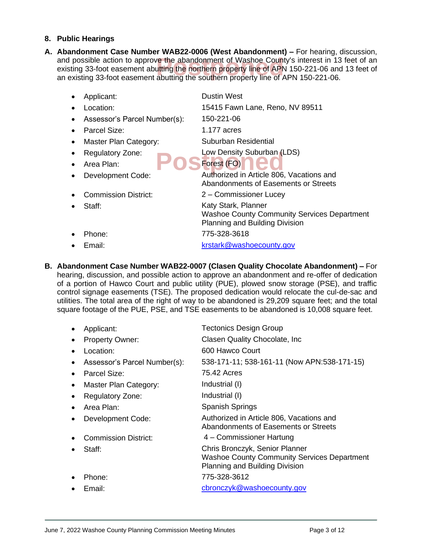## **8. Public Hearings**

and possible action to approve the abandonment of Washoe County's interest in 13 feet of an<br>existing 33-foot easement abutting the northern property line of APN 150-221-06 and 13 feet of<br>an existing 33-foot easement abutti **A. Abandonment Case Number WAB22-0006 (West Abandonment) –** For hearing, discussion, existing 33-foot easement abutting the northern property line of APN 150-221-06 and 13 feet of an existing 33-foot easement abutting the southern property line of APN 150-221-06.

|   | Applicant:                   | <b>Dustin West</b>                                                                                          |
|---|------------------------------|-------------------------------------------------------------------------------------------------------------|
|   | Location:                    | 15415 Fawn Lane, Reno, NV 89511                                                                             |
|   | Assessor's Parcel Number(s): | 150-221-06                                                                                                  |
|   | Parcel Size:                 | 1.177 $acres$                                                                                               |
| ٠ | Master Plan Category:        | Suburban Residential                                                                                        |
|   | <b>Regulatory Zone:</b>      | Low Density Suburban (LDS)                                                                                  |
|   | Area Plan:                   | Forest (FO)                                                                                                 |
|   | Development Code:            | Authorized in Article 806, Vacations and<br>Abandonments of Easements or Streets                            |
|   | <b>Commission District:</b>  | 2 – Commissioner Lucey                                                                                      |
|   | Staff:                       | Katy Stark, Planner<br><b>Washoe County Community Services Department</b><br>Planning and Building Division |
|   | Phone:                       | 775-328-3618                                                                                                |
|   | Email:                       | krstark@washoecounty.gov                                                                                    |

**B. Abandonment Case Number WAB22-0007 (Clasen Quality Chocolate Abandonment) –** For hearing, discussion, and possible action to approve an abandonment and re-offer of dedication of a portion of Hawco Court and public utility (PUE), plowed snow storage (PSE), and traffic control signage easements (TSE). The proposed dedication would relocate the cul-de-sac and utilities. The total area of the right of way to be abandoned is 29,209 square feet; and the total square footage of the PUE, PSE, and TSE easements to be abandoned is 10,008 square feet.

| Applicant:                   | <b>Tectonics Design Group</b>                                                                                          |
|------------------------------|------------------------------------------------------------------------------------------------------------------------|
| <b>Property Owner:</b>       | Clasen Quality Chocolate, Inc.                                                                                         |
| Location:                    | 600 Hawco Court                                                                                                        |
| Assessor's Parcel Number(s): | 538-171-11; 538-161-11 (Now APN:538-171-15)                                                                            |
| Parcel Size:                 | 75.42 Acres                                                                                                            |
| Master Plan Category:        | Industrial (I)                                                                                                         |
| <b>Regulatory Zone:</b>      | Industrial (I)                                                                                                         |
| Area Plan:                   | <b>Spanish Springs</b>                                                                                                 |
| Development Code:            | Authorized in Article 806, Vacations and<br>Abandonments of Easements or Streets                                       |
| Commission District:         | 4 - Commissioner Hartung                                                                                               |
| Staff:                       | Chris Bronczyk, Senior Planner<br><b>Washoe County Community Services Department</b><br>Planning and Building Division |
| Phone:                       | 775-328-3612                                                                                                           |
| Email:                       | cbronczyk@washoecounty.gov                                                                                             |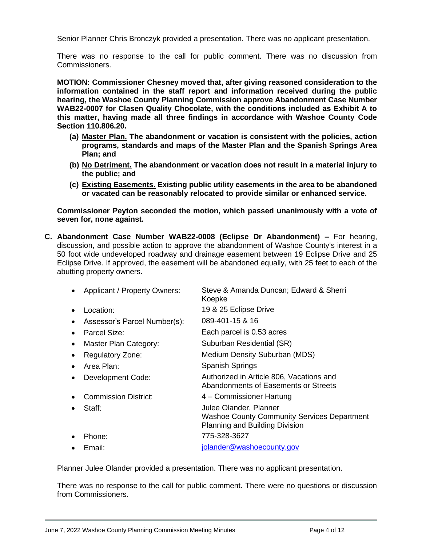Senior Planner Chris Bronczyk provided a presentation. There was no applicant presentation.

There was no response to the call for public comment. There was no discussion from Commissioners.

**MOTION: Commissioner Chesney moved that, after giving reasoned consideration to the information contained in the staff report and information received during the public hearing, the Washoe County Planning Commission approve Abandonment Case Number WAB22-0007 for Clasen Quality Chocolate, with the conditions included as Exhibit A to this matter, having made all three findings in accordance with Washoe County Code Section 110.806.20.**

- **(a) Master Plan. The abandonment or vacation is consistent with the policies, action programs, standards and maps of the Master Plan and the Spanish Springs Area Plan; and**
- **(b) No Detriment. The abandonment or vacation does not result in a material injury to the public; and**
- **(c) Existing Easements. Existing public utility easements in the area to be abandoned or vacated can be reasonably relocated to provide similar or enhanced service.**

**Commissioner Peyton seconded the motion, which passed unanimously with a vote of seven for, none against.**

**C. Abandonment Case Number WAB22-0008 (Eclipse Dr Abandonment) –** For hearing, discussion, and possible action to approve the abandonment of Washoe County's interest in a 50 foot wide undeveloped roadway and drainage easement between 19 Eclipse Drive and 25 Eclipse Drive. If approved, the easement will be abandoned equally, with 25 feet to each of the abutting property owners.

|           | Applicant / Property Owners: | Steve & Amanda Duncan; Edward & Sherri<br>Koepke                                                               |
|-----------|------------------------------|----------------------------------------------------------------------------------------------------------------|
|           | Location:                    | 19 & 25 Eclipse Drive                                                                                          |
|           | Assessor's Parcel Number(s): | 089-401-15 & 16                                                                                                |
|           | Parcel Size:                 | Each parcel is 0.53 acres                                                                                      |
| ٠         | Master Plan Category:        | Suburban Residential (SR)                                                                                      |
|           | <b>Regulatory Zone:</b>      | Medium Density Suburban (MDS)                                                                                  |
| $\bullet$ | Area Plan:                   | <b>Spanish Springs</b>                                                                                         |
|           | Development Code:            | Authorized in Article 806, Vacations and<br>Abandonments of Easements or Streets                               |
|           | Commission District:         | 4 - Commissioner Hartung                                                                                       |
|           | Staff:                       | Julee Olander, Planner<br><b>Washoe County Community Services Department</b><br>Planning and Building Division |
|           | Phone:                       | 775-328-3627                                                                                                   |
|           | Email:                       | jolander@washoecounty.gov                                                                                      |
|           |                              |                                                                                                                |

Planner Julee Olander provided a presentation. There was no applicant presentation.

There was no response to the call for public comment. There were no questions or discussion from Commissioners.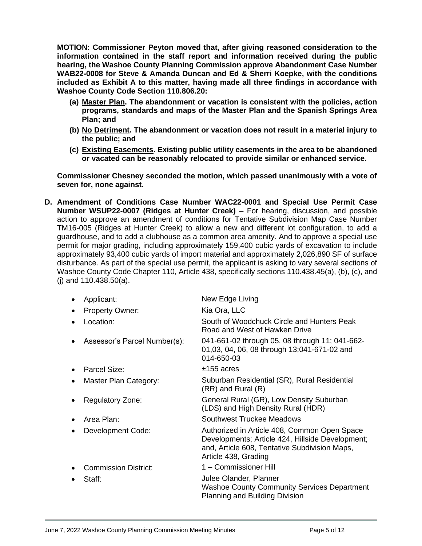**MOTION: Commissioner Peyton moved that, after giving reasoned consideration to the information contained in the staff report and information received during the public hearing, the Washoe County Planning Commission approve Abandonment Case Number WAB22-0008 for Steve & Amanda Duncan and Ed & Sherri Koepke, with the conditions included as Exhibit A to this matter, having made all three findings in accordance with Washoe County Code Section 110.806.20:** 

- **(a) Master Plan. The abandonment or vacation is consistent with the policies, action programs, standards and maps of the Master Plan and the Spanish Springs Area Plan; and**
- **(b) No Detriment. The abandonment or vacation does not result in a material injury to the public; and**
- **(c) Existing Easements. Existing public utility easements in the area to be abandoned or vacated can be reasonably relocated to provide similar or enhanced service.**

**Commissioner Chesney seconded the motion, which passed unanimously with a vote of seven for, none against.**

**D. Amendment of Conditions Case Number WAC22-0001 and Special Use Permit Case Number WSUP22-0007 (Ridges at Hunter Creek) –** For hearing, discussion, and possible action to approve an amendment of conditions for Tentative Subdivision Map Case Number TM16-005 (Ridges at Hunter Creek) to allow a new and different lot configuration, to add a guardhouse, and to add a clubhouse as a common area amenity. And to approve a special use permit for major grading, including approximately 159,400 cubic yards of excavation to include approximately 93,400 cubic yards of import material and approximately 2,026,890 SF of surface disturbance. As part of the special use permit, the applicant is asking to vary several sections of Washoe County Code Chapter 110, Article 438, specifically sections 110.438.45(a), (b), (c), and (j) and 110.438.50(a).

| Applicant:                   | New Edge Living                                                                                                                                                           |
|------------------------------|---------------------------------------------------------------------------------------------------------------------------------------------------------------------------|
| <b>Property Owner:</b>       | Kia Ora, LLC                                                                                                                                                              |
| Location:                    | South of Woodchuck Circle and Hunters Peak<br>Road and West of Hawken Drive                                                                                               |
| Assessor's Parcel Number(s): | 041-661-02 through 05, 08 through 11; 041-662-<br>01,03, 04, 06, 08 through 13;041-671-02 and<br>014-650-03                                                               |
| Parcel Size:                 | $±155$ acres                                                                                                                                                              |
| Master Plan Category:        | Suburban Residential (SR), Rural Residential<br>(RR) and Rural (R)                                                                                                        |
| <b>Regulatory Zone:</b>      | General Rural (GR), Low Density Suburban<br>(LDS) and High Density Rural (HDR)                                                                                            |
| Area Plan:                   | Southwest Truckee Meadows                                                                                                                                                 |
| Development Code:            | Authorized in Article 408, Common Open Space<br>Developments; Article 424, Hillside Development;<br>and, Article 608, Tentative Subdivision Maps,<br>Article 438, Grading |
| <b>Commission District:</b>  | 1 - Commissioner Hill                                                                                                                                                     |
| Staff:                       | Julee Olander, Planner<br><b>Washoe County Community Services Department</b><br>Planning and Building Division                                                            |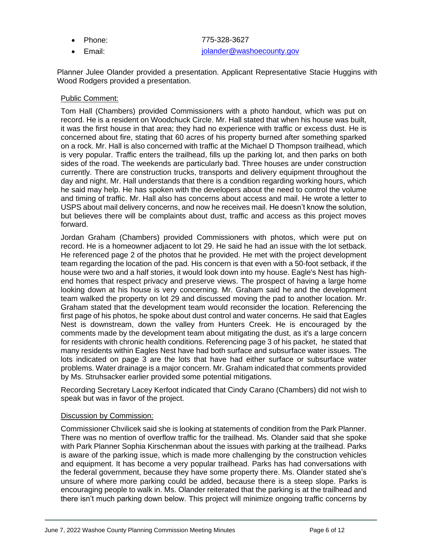- 
- 

• Phone: 775-328-3627 email: in the state of the state of the individual polander@washoecounty.gov

Planner Julee Olander provided a presentation. Applicant Representative Stacie Huggins with Wood Rodgers provided a presentation.

#### Public Comment:

Tom Hall (Chambers) provided Commissioners with a photo handout, which was put on record. He is a resident on Woodchuck Circle. Mr. Hall stated that when his house was built, it was the first house in that area; they had no experience with traffic or excess dust. He is concerned about fire, stating that 60 acres of his property burned after something sparked on a rock. Mr. Hall is also concerned with traffic at the Michael D Thompson trailhead, which is very popular. Traffic enters the trailhead, fills up the parking lot, and then parks on both sides of the road. The weekends are particularly bad. Three houses are under construction currently. There are construction trucks, transports and delivery equipment throughout the day and night. Mr. Hall understands that there is a condition regarding working hours, which he said may help. He has spoken with the developers about the need to control the volume and timing of traffic. Mr. Hall also has concerns about access and mail. He wrote a letter to USPS about mail delivery concerns, and now he receives mail. He doesn't know the solution, but believes there will be complaints about dust, traffic and access as this project moves forward.

Jordan Graham (Chambers) provided Commissioners with photos, which were put on record. He is a homeowner adjacent to lot 29. He said he had an issue with the lot setback. He referenced page 2 of the photos that he provided. He met with the project development team regarding the location of the pad. His concern is that even with a 50-foot setback, if the house were two and a half stories, it would look down into my house. Eagle's Nest has highend homes that respect privacy and preserve views. The prospect of having a large home looking down at his house is very concerning. Mr. Graham said he and the development team walked the property on lot 29 and discussed moving the pad to another location. Mr. Graham stated that the development team would reconsider the location. Referencing the first page of his photos, he spoke about dust control and water concerns. He said that Eagles Nest is downstream, down the valley from Hunters Creek. He is encouraged by the comments made by the development team about mitigating the dust, as it's a large concern for residents with chronic health conditions. Referencing page 3 of his packet, he stated that many residents within Eagles Nest have had both surface and subsurface water issues. The lots indicated on page 3 are the lots that have had either surface or subsurface water problems. Water drainage is a major concern. Mr. Graham indicated that comments provided by Ms. Struhsacker earlier provided some potential mitigations.

Recording Secretary Lacey Kerfoot indicated that Cindy Carano (Chambers) did not wish to speak but was in favor of the project.

#### Discussion by Commission:

Commissioner Chvilicek said she is looking at statements of condition from the Park Planner. There was no mention of overflow traffic for the trailhead. Ms. Olander said that she spoke with Park Planner Sophia Kirschenman about the issues with parking at the trailhead. Parks is aware of the parking issue, which is made more challenging by the construction vehicles and equipment. It has become a very popular trailhead. Parks has had conversations with the federal government, because they have some property there. Ms. Olander stated she's unsure of where more parking could be added, because there is a steep slope. Parks is encouraging people to walk in. Ms. Olander reiterated that the parking is at the trailhead and there isn't much parking down below. This project will minimize ongoing traffic concerns by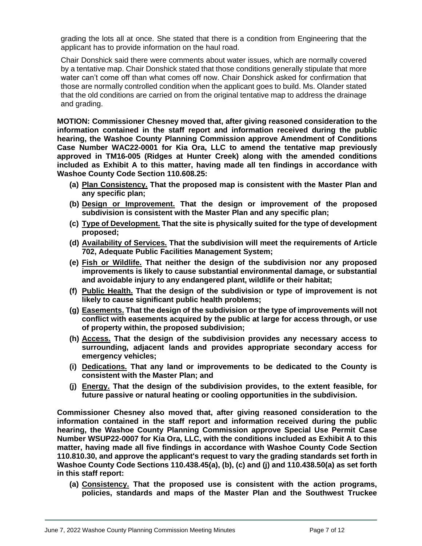grading the lots all at once. She stated that there is a condition from Engineering that the applicant has to provide information on the haul road.

Chair Donshick said there were comments about water issues, which are normally covered by a tentative map. Chair Donshick stated that those conditions generally stipulate that more water can't come off than what comes off now. Chair Donshick asked for confirmation that those are normally controlled condition when the applicant goes to build. Ms. Olander stated that the old conditions are carried on from the original tentative map to address the drainage and grading.

**MOTION: Commissioner Chesney moved that, after giving reasoned consideration to the information contained in the staff report and information received during the public hearing, the Washoe County Planning Commission approve Amendment of Conditions Case Number WAC22-0001 for Kia Ora, LLC to amend the tentative map previously approved in TM16-005 (Ridges at Hunter Creek) along with the amended conditions included as Exhibit A to this matter, having made all ten findings in accordance with Washoe County Code Section 110.608.25:**

- **(a) Plan Consistency. That the proposed map is consistent with the Master Plan and any specific plan;**
- **(b) Design or Improvement. That the design or improvement of the proposed subdivision is consistent with the Master Plan and any specific plan;**
- **(c) Type of Development. That the site is physically suited for the type of development proposed;**
- **(d) Availability of Services. That the subdivision will meet the requirements of Article 702, Adequate Public Facilities Management System;**
- **(e) Fish or Wildlife. That neither the design of the subdivision nor any proposed improvements is likely to cause substantial environmental damage, or substantial and avoidable injury to any endangered plant, wildlife or their habitat;**
- **(f) Public Health. That the design of the subdivision or type of improvement is not likely to cause significant public health problems;**
- **(g) Easements. That the design of the subdivision or the type of improvements will not conflict with easements acquired by the public at large for access through, or use of property within, the proposed subdivision;**
- **(h) Access. That the design of the subdivision provides any necessary access to surrounding, adjacent lands and provides appropriate secondary access for emergency vehicles;**
- **(i) Dedications. That any land or improvements to be dedicated to the County is consistent with the Master Plan; and**
- **(j) Energy. That the design of the subdivision provides, to the extent feasible, for future passive or natural heating or cooling opportunities in the subdivision.**

**Commissioner Chesney also moved that, after giving reasoned consideration to the information contained in the staff report and information received during the public hearing, the Washoe County Planning Commission approve Special Use Permit Case Number WSUP22-0007 for Kia Ora, LLC, with the conditions included as Exhibit A to this matter, having made all five findings in accordance with Washoe County Code Section 110.810.30, and approve the applicant's request to vary the grading standards set forth in Washoe County Code Sections 110.438.45(a), (b), (c) and (j) and 110.438.50(a) as set forth in this staff report:** 

**(a) Consistency. That the proposed use is consistent with the action programs, policies, standards and maps of the Master Plan and the Southwest Truckee**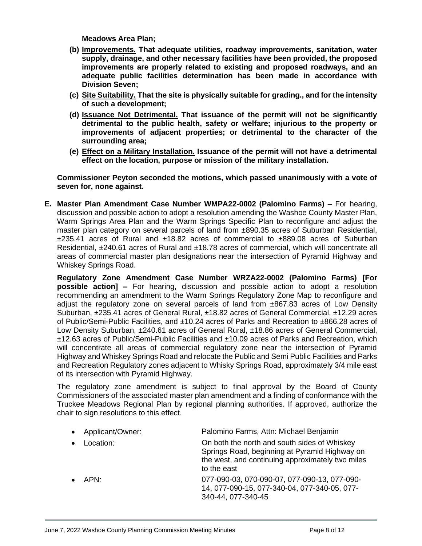**Meadows Area Plan;**

- **(b) Improvements. That adequate utilities, roadway improvements, sanitation, water supply, drainage, and other necessary facilities have been provided, the proposed improvements are properly related to existing and proposed roadways, and an adequate public facilities determination has been made in accordance with Division Seven;**
- **(c) Site Suitability. That the site is physically suitable for grading., and for the intensity of such a development;**
- **(d) Issuance Not Detrimental. That issuance of the permit will not be significantly detrimental to the public health, safety or welfare; injurious to the property or improvements of adjacent properties; or detrimental to the character of the surrounding area;**
- **(e) Effect on a Military Installation. Issuance of the permit will not have a detrimental effect on the location, purpose or mission of the military installation.**

**Commissioner Peyton seconded the motions, which passed unanimously with a vote of seven for, none against.**

**E. Master Plan Amendment Case Number WMPA22-0002 (Palomino Farms) –** For hearing, discussion and possible action to adopt a resolution amending the Washoe County Master Plan, Warm Springs Area Plan and the Warm Springs Specific Plan to reconfigure and adjust the master plan category on several parcels of land from ±890.35 acres of Suburban Residential, ±235.41 acres of Rural and ±18.82 acres of commercial to ±889.08 acres of Suburban Residential, ±240.61 acres of Rural and ±18.78 acres of commercial, which will concentrate all areas of commercial master plan designations near the intersection of Pyramid Highway and Whiskey Springs Road.

**Regulatory Zone Amendment Case Number WRZA22-0002 (Palomino Farms) [For possible action] –** For hearing, discussion and possible action to adopt a resolution recommending an amendment to the Warm Springs Regulatory Zone Map to reconfigure and adjust the regulatory zone on several parcels of land from ±867.83 acres of Low Density Suburban, ±235.41 acres of General Rural, ±18.82 acres of General Commercial, ±12.29 acres of Public/Semi-Public Facilities, and ±10.24 acres of Parks and Recreation to ±866.28 acres of Low Density Suburban, ±240.61 acres of General Rural, ±18.86 acres of General Commercial, ±12.63 acres of Public/Semi-Public Facilities and ±10.09 acres of Parks and Recreation, which will concentrate all areas of commercial regulatory zone near the intersection of Pyramid Highway and Whiskey Springs Road and relocate the Public and Semi Public Facilities and Parks and Recreation Regulatory zones adjacent to Whisky Springs Road, approximately 3/4 mile east of its intersection with Pyramid Highway.

The regulatory zone amendment is subject to final approval by the Board of County Commissioners of the associated master plan amendment and a finding of conformance with the Truckee Meadows Regional Plan by regional planning authorities. If approved, authorize the chair to sign resolutions to this effect.

| Applicant/Owner: | Palomino Farms, Attn: Michael Benjamin                                                                                                                           |
|------------------|------------------------------------------------------------------------------------------------------------------------------------------------------------------|
| Location:        | On both the north and south sides of Whiskey<br>Springs Road, beginning at Pyramid Highway on<br>the west, and continuing approximately two miles<br>to the east |
| APN:             | 077-090-03, 070-090-07, 077-090-13, 077-090-<br>14, 077-090-15, 077-340-04, 077-340-05, 077-<br>340-44, 077-340-45                                               |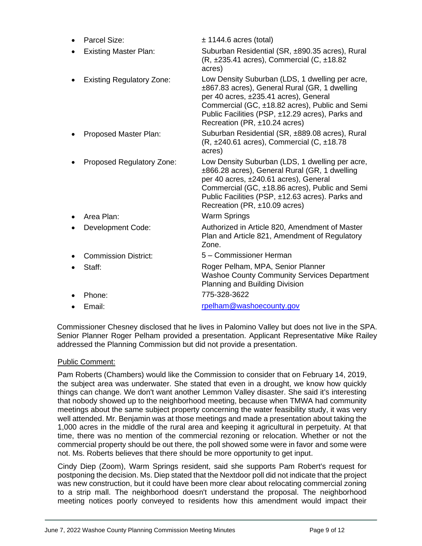| Parcel Size:                     | $\pm$ 1144.6 acres (total)                                                                                                                                                                                                                                                       |
|----------------------------------|----------------------------------------------------------------------------------------------------------------------------------------------------------------------------------------------------------------------------------------------------------------------------------|
| <b>Existing Master Plan:</b>     | Suburban Residential (SR, ±890.35 acres), Rural<br>$(R, \pm 235.41$ acres), Commercial $(C, \pm 18.82)$<br>acres)                                                                                                                                                                |
| <b>Existing Regulatory Zone:</b> | Low Density Suburban (LDS, 1 dwelling per acre,<br>±867.83 acres), General Rural (GR, 1 dwelling<br>per 40 acres, ±235.41 acres), General<br>Commercial (GC, ±18.82 acres), Public and Semi<br>Public Facilities (PSP, ±12.29 acres), Parks and<br>Recreation (PR, ±10.24 acres) |
| Proposed Master Plan:            | Suburban Residential (SR, ±889.08 acres), Rural<br>$(R, \pm 240.61$ acres), Commercial $(C, \pm 18.78)$<br>acres)                                                                                                                                                                |
| Proposed Regulatory Zone:        | Low Density Suburban (LDS, 1 dwelling per acre,<br>±866.28 acres), General Rural (GR, 1 dwelling<br>per 40 acres, ±240.61 acres), General<br>Commercial (GC, ±18.86 acres), Public and Semi<br>Public Facilities (PSP, ±12.63 acres). Parks and<br>Recreation (PR, ±10.09 acres) |
| Area Plan:                       | <b>Warm Springs</b>                                                                                                                                                                                                                                                              |
| Development Code:                | Authorized in Article 820, Amendment of Master<br>Plan and Article 821, Amendment of Regulatory<br>Zone.                                                                                                                                                                         |
| <b>Commission District:</b>      | 5 - Commissioner Herman                                                                                                                                                                                                                                                          |
| Staff:                           | Roger Pelham, MPA, Senior Planner<br><b>Washoe County Community Services Department</b><br>Planning and Building Division                                                                                                                                                        |
| Phone:                           | 775-328-3622                                                                                                                                                                                                                                                                     |
| Email:                           | rpelham@washoecounty.gov                                                                                                                                                                                                                                                         |

Commissioner Chesney disclosed that he lives in Palomino Valley but does not live in the SPA. Senior Planner Roger Pelham provided a presentation. Applicant Representative Mike Railey addressed the Planning Commission but did not provide a presentation.

## Public Comment:

Pam Roberts (Chambers) would like the Commission to consider that on February 14, 2019, the subject area was underwater. She stated that even in a drought, we know how quickly things can change. We don't want another Lemmon Valley disaster. She said it's interesting that nobody showed up to the neighborhood meeting, because when TMWA had community meetings about the same subject property concerning the water feasibility study, it was very well attended. Mr. Benjamin was at those meetings and made a presentation about taking the 1,000 acres in the middle of the rural area and keeping it agricultural in perpetuity. At that time, there was no mention of the commercial rezoning or relocation. Whether or not the commercial property should be out there, the poll showed some were in favor and some were not. Ms. Roberts believes that there should be more opportunity to get input.

Cindy Diep (Zoom), Warm Springs resident, said she supports Pam Robert's request for postponing the decision. Ms. Diep stated that the Nextdoor poll did not indicate that the project was new construction, but it could have been more clear about relocating commercial zoning to a strip mall. The neighborhood doesn't understand the proposal. The neighborhood meeting notices poorly conveyed to residents how this amendment would impact their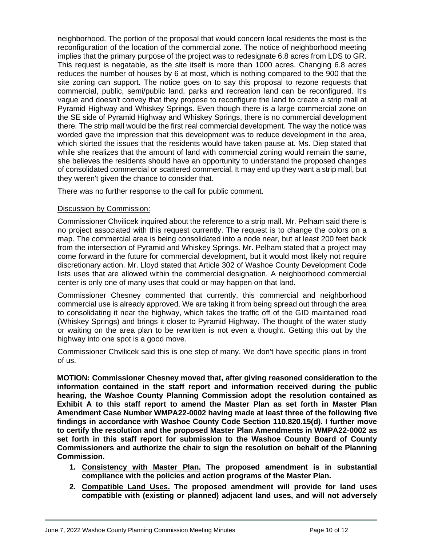neighborhood. The portion of the proposal that would concern local residents the most is the reconfiguration of the location of the commercial zone. The notice of neighborhood meeting implies that the primary purpose of the project was to redesignate 6.8 acres from LDS to GR. This request is negatable, as the site itself is more than 1000 acres. Changing 6.8 acres reduces the number of houses by 6 at most, which is nothing compared to the 900 that the site zoning can support. The notice goes on to say this proposal to rezone requests that commercial, public, semi/public land, parks and recreation land can be reconfigured. It's vague and doesn't convey that they propose to reconfigure the land to create a strip mall at Pyramid Highway and Whiskey Springs. Even though there is a large commercial zone on the SE side of Pyramid Highway and Whiskey Springs, there is no commercial development there. The strip mall would be the first real commercial development. The way the notice was worded gave the impression that this development was to reduce development in the area, which skirted the issues that the residents would have taken pause at. Ms. Diep stated that while she realizes that the amount of land with commercial zoning would remain the same, she believes the residents should have an opportunity to understand the proposed changes of consolidated commercial or scattered commercial. It may end up they want a strip mall, but they weren't given the chance to consider that.

There was no further response to the call for public comment.

## Discussion by Commission:

Commissioner Chvilicek inquired about the reference to a strip mall. Mr. Pelham said there is no project associated with this request currently. The request is to change the colors on a map. The commercial area is being consolidated into a node near, but at least 200 feet back from the intersection of Pyramid and Whiskey Springs. Mr. Pelham stated that a project may come forward in the future for commercial development, but it would most likely not require discretionary action. Mr. Lloyd stated that Article 302 of Washoe County Development Code lists uses that are allowed within the commercial designation. A neighborhood commercial center is only one of many uses that could or may happen on that land.

Commissioner Chesney commented that currently, this commercial and neighborhood commercial use is already approved. We are taking it from being spread out through the area to consolidating it near the highway, which takes the traffic off of the GID maintained road (Whiskey Springs) and brings it closer to Pyramid Highway. The thought of the water study or waiting on the area plan to be rewritten is not even a thought. Getting this out by the highway into one spot is a good move.

Commissioner Chvilicek said this is one step of many. We don't have specific plans in front of us.

**MOTION: Commissioner Chesney moved that, after giving reasoned consideration to the information contained in the staff report and information received during the public hearing, the Washoe County Planning Commission adopt the resolution contained as Exhibit A to this staff report to amend the Master Plan as set forth in Master Plan Amendment Case Number WMPA22-0002 having made at least three of the following five findings in accordance with Washoe County Code Section 110.820.15(d). I further move to certify the resolution and the proposed Master Plan Amendments in WMPA22-0002 as set forth in this staff report for submission to the Washoe County Board of County Commissioners and authorize the chair to sign the resolution on behalf of the Planning Commission.**

- **1. Consistency with Master Plan. The proposed amendment is in substantial compliance with the policies and action programs of the Master Plan.**
- **2. Compatible Land Uses. The proposed amendment will provide for land uses compatible with (existing or planned) adjacent land uses, and will not adversely**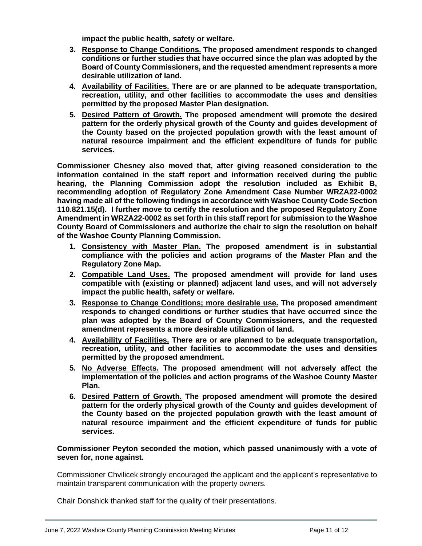**impact the public health, safety or welfare.**

- **3. Response to Change Conditions. The proposed amendment responds to changed conditions or further studies that have occurred since the plan was adopted by the Board of County Commissioners, and the requested amendment represents a more desirable utilization of land.**
- **4. Availability of Facilities. There are or are planned to be adequate transportation, recreation, utility, and other facilities to accommodate the uses and densities permitted by the proposed Master Plan designation.**
- **5. Desired Pattern of Growth. The proposed amendment will promote the desired pattern for the orderly physical growth of the County and guides development of the County based on the projected population growth with the least amount of natural resource impairment and the efficient expenditure of funds for public services.**

**Commissioner Chesney also moved that, after giving reasoned consideration to the information contained in the staff report and information received during the public hearing, the Planning Commission adopt the resolution included as Exhibit B, recommending adoption of Regulatory Zone Amendment Case Number WRZA22-0002 having made all of the following findings in accordance with Washoe County Code Section 110.821.15(d). I further move to certify the resolution and the proposed Regulatory Zone Amendment in WRZA22-0002 as set forth in this staff report for submission to the Washoe County Board of Commissioners and authorize the chair to sign the resolution on behalf of the Washoe County Planning Commission.** 

- **1. Consistency with Master Plan. The proposed amendment is in substantial compliance with the policies and action programs of the Master Plan and the Regulatory Zone Map.**
- **2. Compatible Land Uses. The proposed amendment will provide for land uses compatible with (existing or planned) adjacent land uses, and will not adversely impact the public health, safety or welfare.**
- **3. Response to Change Conditions; more desirable use. The proposed amendment responds to changed conditions or further studies that have occurred since the plan was adopted by the Board of County Commissioners, and the requested amendment represents a more desirable utilization of land.**
- **4. Availability of Facilities. There are or are planned to be adequate transportation, recreation, utility, and other facilities to accommodate the uses and densities permitted by the proposed amendment.**
- **5. No Adverse Effects. The proposed amendment will not adversely affect the implementation of the policies and action programs of the Washoe County Master Plan.**
- **6. Desired Pattern of Growth. The proposed amendment will promote the desired pattern for the orderly physical growth of the County and guides development of the County based on the projected population growth with the least amount of natural resource impairment and the efficient expenditure of funds for public services.**

## **Commissioner Peyton seconded the motion, which passed unanimously with a vote of seven for, none against.**

Commissioner Chvilicek strongly encouraged the applicant and the applicant's representative to maintain transparent communication with the property owners.

Chair Donshick thanked staff for the quality of their presentations.